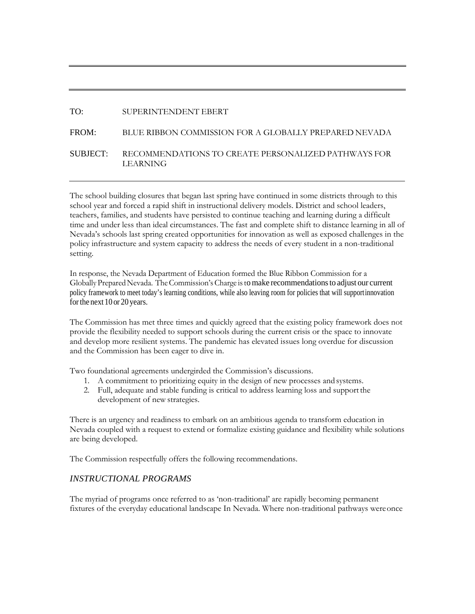# TO: SUPERINTENDENT EBERT

# FROM: BLUE RIBBON COMMISSION FOR A GLOBALLY PREPARED NEVADA SUBJECT: RECOMMENDATIONS TO CREATE PERSONALIZED PATHWAYS FOR LEARNING

The school building closures that began last spring have continued in some districts through to this school year and forced a rapid shift in instructional delivery models. District and school leaders, teachers, families, and students have persisted to continue teaching and learning during a difficult time and under less than ideal circumstances. The fast and complete shift to distance learning in all of Nevada's schools last spring created opportunities for innovation as well as exposed challenges in the policy infrastructure and system capacity to address the needs of every student in a non-traditional setting.

In response, the Nevada Department of Education formed the Blue Ribbon Commission for a Globally Prepared Nevada. The Commission's Charge is to make recommendations to adjust our current policy framework to meet today's learning conditions, while also leaving room for policies that will supportinnovation forthe next 10 or 20 years.

The Commission has met three times and quickly agreed that the existing policy framework does not provide the flexibility needed to support schools during the current crisis or the space to innovate and develop more resilient systems. The pandemic has elevated issues long overdue for discussion and the Commission has been eager to dive in.

Two foundational agreements undergirded the Commission's discussions.

- 1. A commitment to prioritizing equity in the design of new processes and systems.
- 2. Full, adequate and stable funding is critical to address learning loss and supportthe development of new strategies.

There is an urgency and readiness to embark on an ambitious agenda to transform education in Nevada coupled with a request to extend or formalize existing guidance and flexibility while solutions are being developed.

The Commission respectfully offers the following recommendations.

#### *INSTRUCTIONAL PROGRAMS*

The myriad of programs once referred to as 'non-traditional' are rapidly becoming permanent fixtures of the everyday educational landscape In Nevada. Where non-traditional pathways wereonce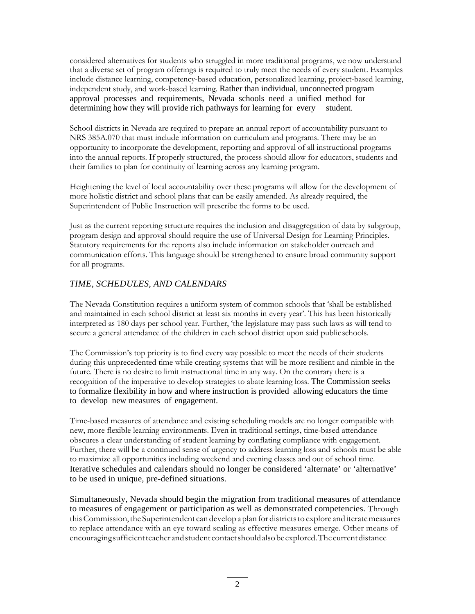considered alternatives for students who struggled in more traditional programs, we now understand that a diverse set of program offerings is required to truly meet the needs of every student. Examples include distance learning, competency-based education, personalized learning, project-based learning, independent study, and work-based learning. Rather than individual, unconnected program approval processes and requirements, Nevada schools need a unified method for determining how they will provide rich pathways for learning for every student.

School districts in Nevada are required to prepare an annual report of accountability pursuant to NRS 385A.070 that must include information on curriculum and programs. There may be an opportunity to incorporate the development, reporting and approval of all instructional programs into the annual reports. If properly structured, the process should allow for educators, students and their families to plan for continuity of learning across any learning program.

Heightening the level of local accountability over these programs will allow for the development of more holistic district and school plans that can be easily amended. As already required, the Superintendent of Public Instruction will prescribe the forms to be used.

Just as the current reporting structure requires the inclusion and disaggregation of data by subgroup, program design and approval should require the use of Universal Design for Learning Principles. Statutory requirements for the reports also include information on stakeholder outreach and communication efforts. This language should be strengthened to ensure broad community support for all programs.

### *TIME, SCHEDULES, AND CALENDARS*

The Nevada Constitution requires a uniform system of common schools that 'shall be established and maintained in each school district at least six months in every year'. This has been historically interpreted as 180 days per school year. Further, 'the legislature may pass such laws as will tend to secure a general attendance of the children in each school district upon said publicschools.

The Commission's top priority is to find every way possible to meet the needs of their students during this unprecedented time while creating systems that will be more resilient and nimble in the future. There is no desire to limit instructional time in any way. On the contrary there is a recognition of the imperative to develop strategies to abate learning loss. The Commission seeks to formalize flexibility in how and where instruction is provided allowing educators the time to develop new measures of engagement.

Time-based measures of attendance and existing scheduling models are no longer compatible with new, more flexible learning environments. Even in traditional settings, time-based attendance obscures a clear understanding of student learning by conflating compliance with engagement. Further, there will be a continued sense of urgency to address learning loss and schools must be able to maximize all opportunities including weekend and evening classes and out of school time. Iterative schedules and calendars should no longer be considered 'alternate' or 'alternative' to be used in unique, pre-defined situations.

Simultaneously, Nevada should begin the migration from traditional measures of attendance to measures of engagement or participation as well as demonstrated competencies. Through this Commission, the Superintendent can develop a plan for districts to explore and iterate measures to replace attendance with an eye toward scaling as effective measures emerge. Other means of encouragingsufficientteacher andstudent contactshouldalsobeexplored.Thecurrentdistance